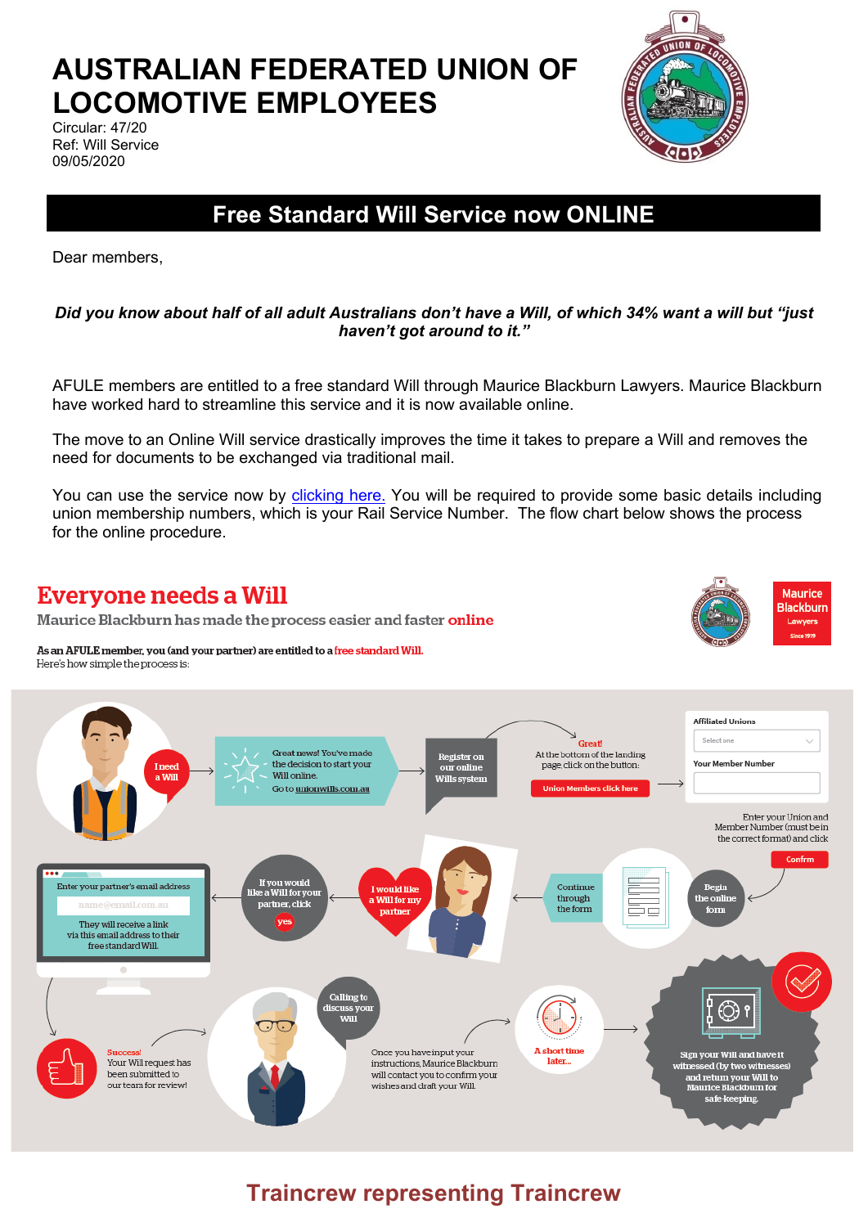# **AUSTRALIAN FEDERATED UNION OF LOCOMOTIVE EMPLOYEES**

Circular: 47/20 Ref: Will Service 09/05/2020



**Maurice Rlackhurn** 

Lawyers

## **Free Standard Will Service now ONLINE**

Dear members,

#### *Did you know about half of all adult Australians don't have a Will, of which 34% want a will but "just haven't got around to it."*

AFULE members are entitled to a free standard Will through Maurice Blackburn Lawyers. Maurice Blackburn have worked hard to streamline this service and it is now available online.

The move to an Online Will service drastically improves the time it takes to prepare a Will and removes the need for documents to be exchanged via traditional mail.

You can use the service now b[y clicking here.](http://unionwills.com.au/) You will be required to provide some basic details including union membership numbers, which is your Rail Service Number. The flow chart below shows the process for the online procedure.

### **Everyone needs a Will**

Maurice Blackburn has made the process easier and faster online

As an AFULE member, you (and your partner) are entitled to a free standard Will. Here's how simple the process is:



## **Traincrew representing Traincrew**